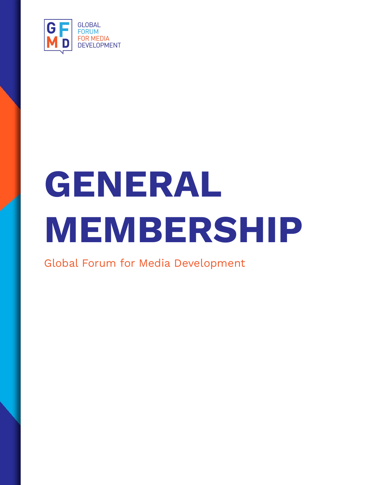

# **GENERAL MEMBERSHIP**

Global Forum for Media Development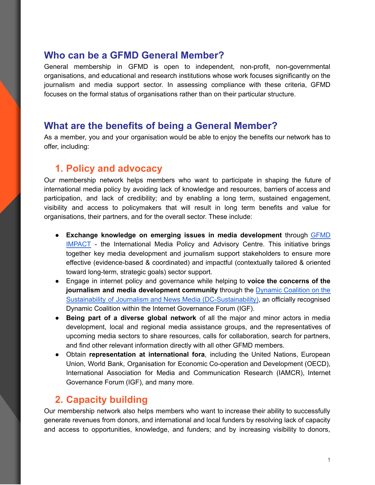#### **Who can be a GFMD General Member?**

General membership in GFMD is open to independent, non-profit, non-governmental organisations, and educational and research institutions whose work focuses significantly on the journalism and media support sector. In assessing compliance with these criteria, GFMD focuses on the formal status of organisations rather than on their particular structure.

#### **What are the benefits of being a General Member?**

As a member, you and your organisation would be able to enjoy the benefits our network has to offer, including:

### **1. Policy and advocacy**

Our membership network helps members who want to participate in shaping the future of international media policy by avoiding lack of knowledge and resources, barriers of access and participation, and lack of credibility; and by enabling a long term, sustained engagement, visibility and access to policymakers that will result in long term benefits and value for organisations, their partners, and for the overall sector. These include:

- **Exchange knowledge on emerging issues in media development** through [GFMD](https://impact.gfmd.info/) [IMPACT](https://impact.gfmd.info/) - the International Media Policy and Advisory Centre. This initiative brings together key media development and journalism support stakeholders to ensure more effective (evidence-based & coordinated) and impactful (contextually tailored & oriented toward long-term, strategic goals) sector support.
- Engage in internet policy and governance while helping to **voice the concerns of the journalism and media development community** through the Dynamic [Coalition](https://groups.io/g/dc-sustainability) on the Sustainability of Journalism and News Media [\(DC-Sustainability\)](https://groups.io/g/dc-sustainability), an officially recognised Dynamic Coalition within the Internet Governance Forum (IGF).
- **Being part of a diverse global network** of all the major and minor actors in media development, local and regional media assistance groups, and the representatives of upcoming media sectors to share resources, calls for collaboration, search for partners, and find other relevant information directly with all other GFMD members.
- Obtain **representation at international fora**, including the United Nations, European Union, World Bank, Organisation for Economic Co-operation and Development (OECD), International Association for Media and Communication Research (IAMCR), Internet Governance Forum (IGF), and many more.

## **2. Capacity building**

Our membership network also helps members who want to increase their ability to successfully generate revenues from donors, and international and local funders by resolving lack of capacity and access to opportunities, knowledge, and funders; and by increasing visibility to donors,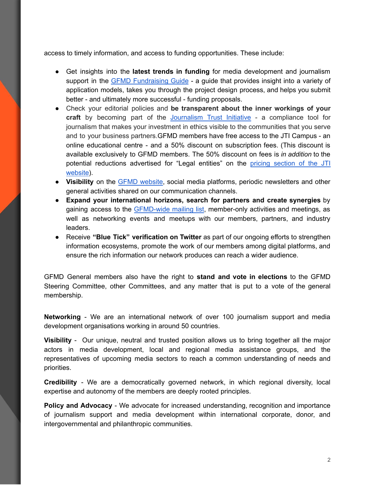access to timely information, and access to funding opportunities. These include:

- Get insights into the **latest trends in funding** for media development and journalism support in the GFMD [Fundraising](https://fundraising-guide.gfmd.info/) Guide - a guide that provides insight into a variety of application models, takes you through the project design process, and helps you submit better - and ultimately more successful - funding proposals.
- Check your editorial policies and **be transparent about the inner workings of your craft** by becoming part of the [Journalism](https://www.journalismtrustinitiative.org/about) Trust Initiative - a compliance tool for journalism that makes your investment in ethics visible to the communities that you serve and to your business partners.GFMD members have free access to the JTI Campus - an online educational centre - and a 50% discount on subscription fees. (This discount is available exclusively to GFMD members. The 50% discount on fees is *in addition* to the potential reductions advertised for "Legal entities" on the pricing [section](https://www.journalismtrustinitiative.org/pricing) of the JTI [website](https://www.journalismtrustinitiative.org/pricing)).
- **Visibility** on the GFMD [website](https://gfmd.info/), social media platforms, periodic newsletters and other general activities shared on our communication channels.
- **Expand your international horizons, search for partners and create synergies** by gaining access to the [GFMD-wide](https://groups.io/g/gfmd-members) mailing list, member-only activities and meetings, as well as networking events and meetups with our members, partners, and industry leaders.
- Receive **"Blue Tick" verification on Twitter** as part of our ongoing efforts to strengthen information ecosystems, promote the work of our members among digital platforms, and ensure the rich information our network produces can reach a wider audience.

GFMD General members also have the right to **stand and vote in elections** to the GFMD Steering Committee, other Committees, and any matter that is put to a vote of the general membership.

**Networking** - We are an international network of over 100 journalism support and media development organisations working in around 50 countries.

**Visibility** - Our unique, neutral and trusted position allows us to bring together all the major actors in media development, local and regional media assistance groups, and the representatives of upcoming media sectors to reach a common understanding of needs and priorities.

**Credibility** - We are a democratically governed network, in which regional diversity, local expertise and autonomy of the members are deeply rooted principles.

**Policy and Advocacy** - We advocate for increased understanding, recognition and importance of journalism support and media development within international corporate, donor, and intergovernmental and philanthropic communities.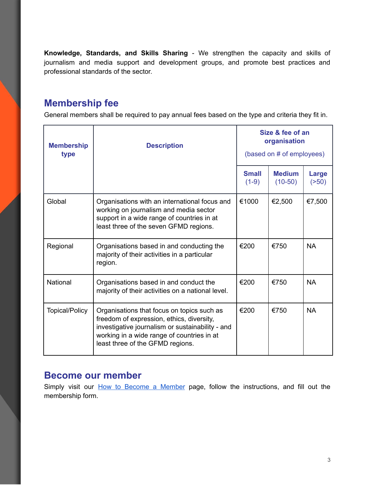**Knowledge, Standards, and Skills Sharing** - We strengthen the capacity and skills of journalism and media support and development groups, and promote best practices and professional standards of the sector.

## **Membership fee**

General members shall be required to pay annual fees based on the type and criteria they fit in.

| <b>Membership</b><br>type | <b>Description</b>                                                                                                                                                                                                            | Size & fee of an<br>organisation<br>(based on # of employees) |                            |                 |
|---------------------------|-------------------------------------------------------------------------------------------------------------------------------------------------------------------------------------------------------------------------------|---------------------------------------------------------------|----------------------------|-----------------|
|                           |                                                                                                                                                                                                                               | <b>Small</b><br>$(1-9)$                                       | <b>Medium</b><br>$(10-50)$ | Large<br>( >50) |
| Global                    | Organisations with an international focus and<br>working on journalism and media sector<br>support in a wide range of countries in at<br>least three of the seven GFMD regions.                                               | €1000                                                         | €2,500                     | €7,500          |
| Regional                  | Organisations based in and conducting the<br>majority of their activities in a particular<br>region.                                                                                                                          | €200                                                          | €750                       | <b>NA</b>       |
| National                  | Organisations based in and conduct the<br>majority of their activities on a national level.                                                                                                                                   | €200                                                          | €750                       | <b>NA</b>       |
| <b>Topical/Policy</b>     | Organisations that focus on topics such as<br>freedom of expression, ethics, diversity,<br>investigative journalism or sustainability - and<br>working in a wide range of countries in at<br>least three of the GFMD regions. | €200                                                          | €750                       | <b>NA</b>       |

#### **Become our member**

Simply visit our **How to [Become](https://gfmd.info/how-to-become-a-member/how-to-join/) a Member** page, follow the instructions, and fill out the membership form.